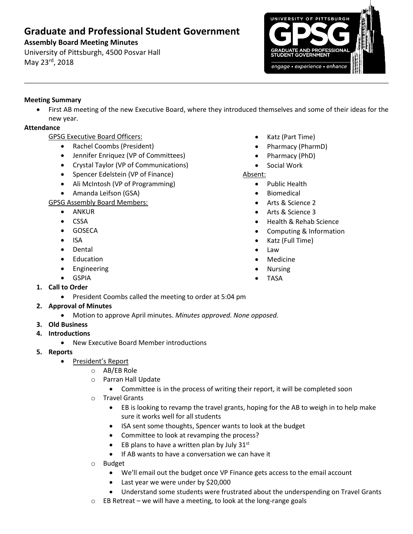# **Graduate and Professional Student Government**

## **Assembly Board Meeting Minutes**

University of Pittsburgh, 4500 Posvar Hall May 23rd, 2018



### **Meeting Summary**

 First AB meeting of the new Executive Board, where they introduced themselves and some of their ideas for the new year.

### **Attendance**

GPSG Executive Board Officers:

- Rachel Coombs (President)
- Jennifer Enriquez (VP of Committees)
- Crystal Taylor (VP of Communications)
- Spencer Edelstein (VP of Finance)
- Ali McIntosh (VP of Programming)
- Amanda Leifson (GSA)

GPSG Assembly Board Members:

- ANKUR
- CSSA
- GOSECA
- ISA
- Dental
- Education
- Engineering
- GSPIA
- **1. Call to Order**
	- **•** President Coombs called the meeting to order at 5:04 pm

## **2. Approval of Minutes**

- Motion to approve April minutes. *Minutes approved. None opposed.*
- **3. Old Business**
- **4. Introductions**
	- New Executive Board Member introductions
- **5. Reports** 
	- President's Report
		- o AB/EB Role
		- o Parran Hall Update
			- Committee is in the process of writing their report, it will be completed soon
		- o Travel Grants
			- EB is looking to revamp the travel grants, hoping for the AB to weigh in to help make sure it works well for all students
			- ISA sent some thoughts, Spencer wants to look at the budget
			- Committee to look at revamping the process?
			- EB plans to have a written plan by July  $31^{st}$
			- If AB wants to have a conversation we can have it
		- o Budget
			- We'll email out the budget once VP Finance gets access to the email account
			- Last year we were under by \$20,000
			- Understand some students were frustrated about the underspending on Travel Grants
		- o EB Retreat we will have a meeting, to look at the long-range goals
- Katz (Part Time)
- Pharmacy (PharmD)
- Pharmacy (PhD)
- Social Work
- Absent:
	- Public Health
	- Biomedical
	- Arts & Science 2
	- Arts & Science 3
	- Health & Rehab Science
	- Computing & Information
	- Katz (Full Time)
	- Law
	- Medicine
	- Nursing
	- TASA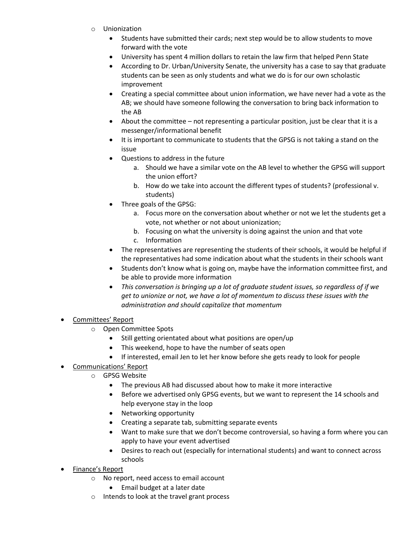- o Unionization
	- Students have submitted their cards; next step would be to allow students to move forward with the vote
	- University has spent 4 million dollars to retain the law firm that helped Penn State
	- According to Dr. Urban/University Senate, the university has a case to say that graduate students can be seen as only students and what we do is for our own scholastic improvement
	- Creating a special committee about union information, we have never had a vote as the AB; we should have someone following the conversation to bring back information to the AB
	- About the committee not representing a particular position, just be clear that it is a messenger/informational benefit
	- It is important to communicate to students that the GPSG is not taking a stand on the issue
	- Questions to address in the future
		- a. Should we have a similar vote on the AB level to whether the GPSG will support the union effort?
		- b. How do we take into account the different types of students? (professional v. students)
	- Three goals of the GPSG:
		- a. Focus more on the conversation about whether or not we let the students get a vote, not whether or not about unionization;
		- b. Focusing on what the university is doing against the union and that vote
		- c. Information
	- The representatives are representing the students of their schools, it would be helpful if the representatives had some indication about what the students in their schools want
	- Students don't know what is going on, maybe have the information committee first, and be able to provide more information
	- *This conversation is bringing up a lot of graduate student issues, so regardless of if we get to unionize or not, we have a lot of momentum to discuss these issues with the administration and should capitalize that momentum*
- Committees' Report
	- o Open Committee Spots
		- Still getting orientated about what positions are open/up
		- This weekend, hope to have the number of seats open
		- If interested, email Jen to let her know before she gets ready to look for people
- Communications' Report
	- o GPSG Website
		- The previous AB had discussed about how to make it more interactive
		- Before we advertised only GPSG events, but we want to represent the 14 schools and help everyone stay in the loop
		- Networking opportunity
		- Creating a separate tab, submitting separate events
		- Want to make sure that we don't become controversial, so having a form where you can apply to have your event advertised
		- Desires to reach out (especially for international students) and want to connect across schools
- Finance's Report
	- o No report, need access to email account
		- Email budget at a later date
	- o Intends to look at the travel grant process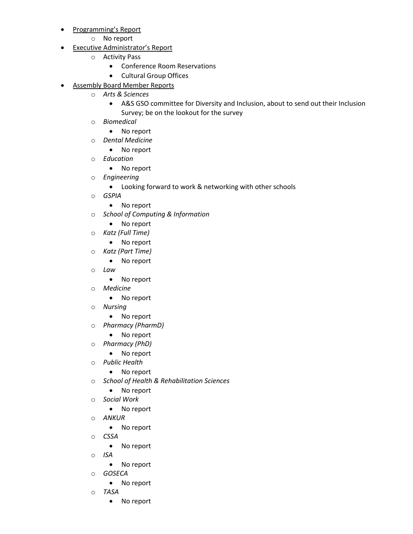- Programming's Report
	- o No report
- Executive Administrator's Report
	- o Activity Pass
		- Conference Room Reservations
		- Cultural Group Offices
- Assembly Board Member Reports
	- o *Arts & Sciences*
		- A&S GSO committee for Diversity and Inclusion, about to send out their Inclusion Survey; be on the lookout for the survey
	- o *Biomedical*
		- No report
	- o *Dental Medicine*
		- No report
	- o *Education*
		- No report
	- o *Engineering*
		- Looking forward to work & networking with other schools
	- o *GSPIA*
		- No report
	- o *School of Computing & Information*
		- No report
	- o *Katz (Full Time)*
		- No report
	- o *Katz (Part Time)*
		- No report
	- o *Law*
		- No report
	- o *Medicine*
		- No report
	- o *Nursing* 
		- No report
	- o *Pharmacy (PharmD)*
		- No report
	- o *Pharmacy (PhD)*
		- No report
	- o *Public Health*
		- No report
	- o *School of Health & Rehabilitation Sciences*
		- No report
	- o *Social Work*
		- No report
	- o *ANKUR* 
		- No report
	- o *CSSA* 
		- No report
	- o *ISA* 
		- No report
	- o *GOSECA*
		- No report
	- o *TASA*
		- No report